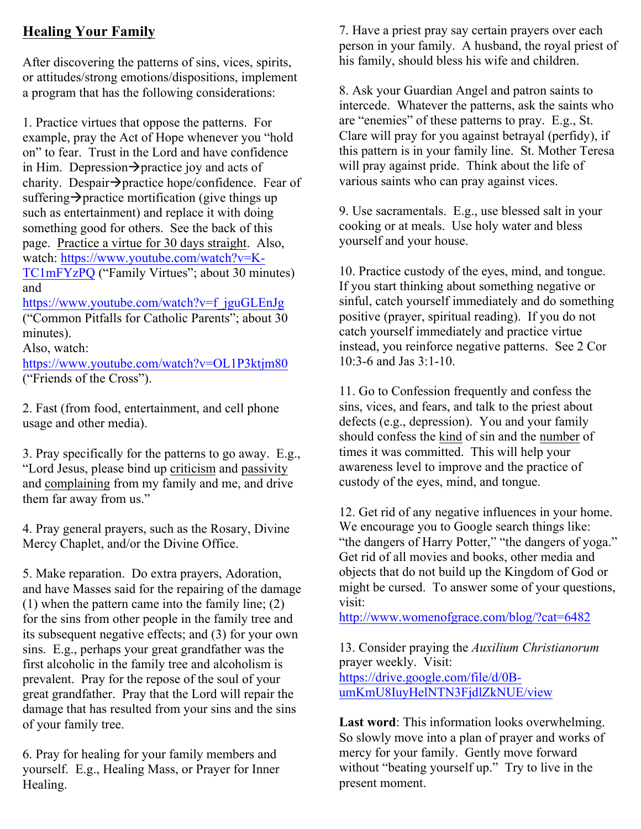# **Healing Your Family**

After discovering the patterns of sins, vices, spirits, or attitudes/strong emotions/dispositions, implement a program that has the following considerations:

1. Practice virtues that oppose the patterns. For example, pray the Act of Hope whenever you "hold on" to fear. Trust in the Lord and have confidence in Him. Depression $\rightarrow$  practice joy and acts of charity. Despair $\rightarrow$ practice hope/confidence. Fear of suffering  $\rightarrow$  practice mortification (give things up) such as entertainment) and replace it with doing something good for others. See the back of this page. Practice a virtue for 30 days straight. Also, watch: https://www.youtube.com/watch?v=K-TC1mFYzPQ ("Family Virtues"; about 30 minutes) and

https://www.youtube.com/watch?v=f\_jguGLEnJg ("Common Pitfalls for Catholic Parents"; about 30 minutes).

Also, watch:

https://www.youtube.com/watch?v=OL1P3ktjm80 ("Friends of the Cross").

2. Fast (from food, entertainment, and cell phone usage and other media).

3. Pray specifically for the patterns to go away. E.g., "Lord Jesus, please bind up criticism and passivity and complaining from my family and me, and drive them far away from us."

4. Pray general prayers, such as the Rosary, Divine Mercy Chaplet, and/or the Divine Office.

5. Make reparation. Do extra prayers, Adoration, and have Masses said for the repairing of the damage (1) when the pattern came into the family line; (2) for the sins from other people in the family tree and its subsequent negative effects; and (3) for your own sins. E.g., perhaps your great grandfather was the first alcoholic in the family tree and alcoholism is prevalent. Pray for the repose of the soul of your great grandfather. Pray that the Lord will repair the damage that has resulted from your sins and the sins of your family tree.

6. Pray for healing for your family members and yourself. E.g., Healing Mass, or Prayer for Inner Healing.

7. Have a priest pray say certain prayers over each person in your family. A husband, the royal priest of his family, should bless his wife and children.

8. Ask your Guardian Angel and patron saints to intercede. Whatever the patterns, ask the saints who are "enemies" of these patterns to pray. E.g., St. Clare will pray for you against betrayal (perfidy), if this pattern is in your family line. St. Mother Teresa will pray against pride. Think about the life of various saints who can pray against vices.

9. Use sacramentals. E.g., use blessed salt in your cooking or at meals. Use holy water and bless yourself and your house.

10. Practice custody of the eyes, mind, and tongue. If you start thinking about something negative or sinful, catch yourself immediately and do something positive (prayer, spiritual reading). If you do not catch yourself immediately and practice virtue instead, you reinforce negative patterns. See 2 Cor 10:3-6 and Jas 3:1-10.

11. Go to Confession frequently and confess the sins, vices, and fears, and talk to the priest about defects (e.g., depression). You and your family should confess the kind of sin and the number of times it was committed. This will help your awareness level to improve and the practice of custody of the eyes, mind, and tongue.

12. Get rid of any negative influences in your home. We encourage you to Google search things like: "the dangers of Harry Potter," "the dangers of yoga." Get rid of all movies and books, other media and objects that do not build up the Kingdom of God or might be cursed. To answer some of your questions, visit:

http://www.womenofgrace.com/blog/?cat=6482

13. Consider praying the *Auxilium Christianorum* prayer weekly. Visit: https://drive.google.com/file/d/0BumKmU8IuyHelNTN3FjdlZkNUE/view

**Last word**: This information looks overwhelming. So slowly move into a plan of prayer and works of mercy for your family. Gently move forward without "beating yourself up." Try to live in the present moment.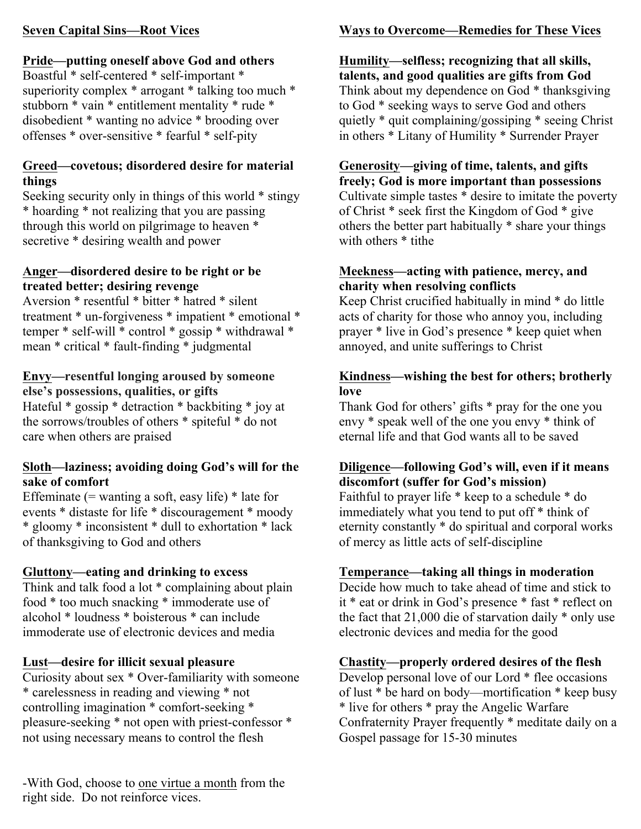### **Seven Capital Sins—Root Vices**

# **Pride—putting oneself above God and others**

Boastful \* self-centered \* self-important \* superiority complex \* arrogant \* talking too much \* stubborn \* vain \* entitlement mentality \* rude \* disobedient \* wanting no advice \* brooding over offenses \* over-sensitive \* fearful \* self-pity

### **Greed—covetous; disordered desire for material things**

Seeking security only in things of this world \* stingy \* hoarding \* not realizing that you are passing through this world on pilgrimage to heaven \* secretive \* desiring wealth and power

### **Anger—disordered desire to be right or be treated better; desiring revenge**

Aversion \* resentful \* bitter \* hatred \* silent treatment \* un-forgiveness \* impatient \* emotional \* temper \* self-will \* control \* gossip \* withdrawal \* mean \* critical \* fault-finding \* judgmental

### **Envy—resentful longing aroused by someone else's possessions, qualities, or gifts**

Hateful \* gossip \* detraction \* backbiting \* joy at the sorrows/troubles of others \* spiteful \* do not care when others are praised

### **Sloth—laziness; avoiding doing God's will for the sake of comfort**

Effeminate  $(=$  wanting a soft, easy life)  $*$  late for events \* distaste for life \* discouragement \* moody \* gloomy \* inconsistent \* dull to exhortation \* lack of thanksgiving to God and others

# **Gluttony—eating and drinking to excess**

Think and talk food a lot \* complaining about plain food \* too much snacking \* immoderate use of alcohol \* loudness \* boisterous \* can include immoderate use of electronic devices and media

# **Lust—desire for illicit sexual pleasure**

Curiosity about sex \* Over-familiarity with someone \* carelessness in reading and viewing \* not controlling imagination \* comfort-seeking \* pleasure-seeking \* not open with priest-confessor \* not using necessary means to control the flesh

-With God, choose to one virtue a month from the right side. Do not reinforce vices.

# **Ways to Overcome—Remedies for These Vices**

**Humility—selfless; recognizing that all skills, talents, and good qualities are gifts from God** Think about my dependence on God \* thanksgiving to God \* seeking ways to serve God and others quietly \* quit complaining/gossiping \* seeing Christ in others \* Litany of Humility \* Surrender Prayer

### **Generosity—giving of time, talents, and gifts freely; God is more important than possessions**

Cultivate simple tastes \* desire to imitate the poverty of Christ \* seek first the Kingdom of God \* give others the better part habitually \* share your things with others \* tithe

### **Meekness—acting with patience, mercy, and charity when resolving conflicts**

Keep Christ crucified habitually in mind \* do little acts of charity for those who annoy you, including prayer \* live in God's presence \* keep quiet when annoyed, and unite sufferings to Christ

### **Kindness—wishing the best for others; brotherly love**

Thank God for others' gifts \* pray for the one you envy \* speak well of the one you envy \* think of eternal life and that God wants all to be saved

# **Diligence—following God's will, even if it means discomfort (suffer for God's mission)**

Faithful to prayer life \* keep to a schedule \* do immediately what you tend to put off \* think of eternity constantly \* do spiritual and corporal works of mercy as little acts of self-discipline

# **Temperance—taking all things in moderation**

Decide how much to take ahead of time and stick to it \* eat or drink in God's presence \* fast \* reflect on the fact that 21,000 die of starvation daily \* only use electronic devices and media for the good

# **Chastity—properly ordered desires of the flesh**

Develop personal love of our Lord \* flee occasions of lust \* be hard on body—mortification \* keep busy \* live for others \* pray the Angelic Warfare Confraternity Prayer frequently \* meditate daily on a Gospel passage for 15-30 minutes